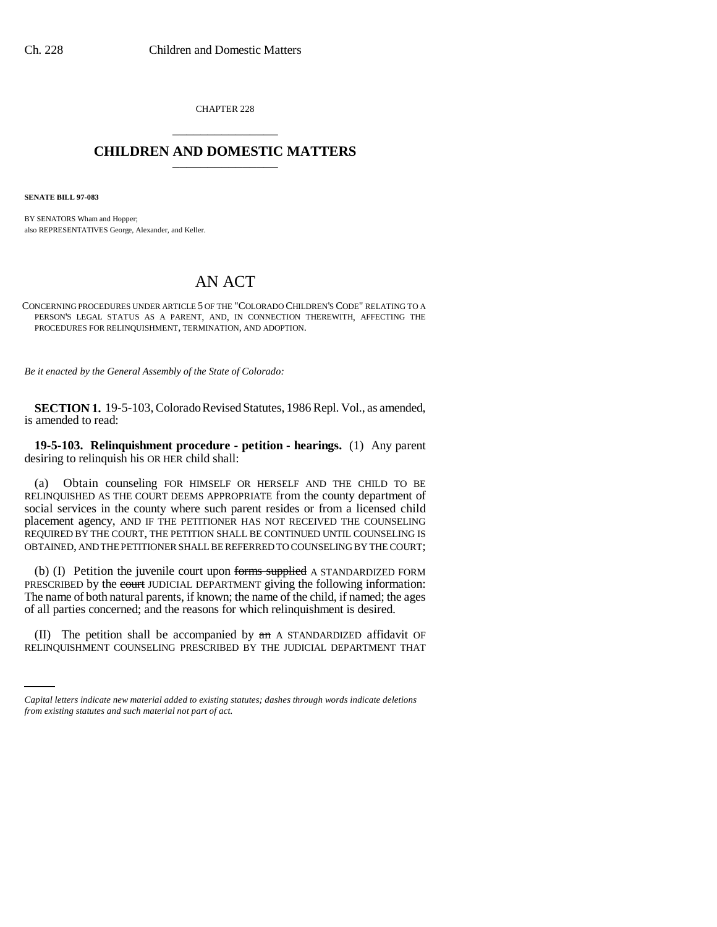CHAPTER 228 \_\_\_\_\_\_\_\_\_\_\_\_\_\_\_

## **CHILDREN AND DOMESTIC MATTERS** \_\_\_\_\_\_\_\_\_\_\_\_\_\_\_

**SENATE BILL 97-083**

BY SENATORS Wham and Hopper; also REPRESENTATIVES George, Alexander, and Keller.

# AN ACT

CONCERNING PROCEDURES UNDER ARTICLE 5 OF THE "COLORADO CHILDREN'S CODE" RELATING TO A PERSON'S LEGAL STATUS AS A PARENT, AND, IN CONNECTION THEREWITH, AFFECTING THE PROCEDURES FOR RELINQUISHMENT, TERMINATION, AND ADOPTION.

*Be it enacted by the General Assembly of the State of Colorado:*

**SECTION 1.** 19-5-103, Colorado Revised Statutes, 1986 Repl. Vol., as amended, is amended to read:

**19-5-103. Relinquishment procedure - petition - hearings.** (1) Any parent desiring to relinquish his OR HER child shall:

(a) Obtain counseling FOR HIMSELF OR HERSELF AND THE CHILD TO BE RELINQUISHED AS THE COURT DEEMS APPROPRIATE from the county department of social services in the county where such parent resides or from a licensed child placement agency, AND IF THE PETITIONER HAS NOT RECEIVED THE COUNSELING REQUIRED BY THE COURT, THE PETITION SHALL BE CONTINUED UNTIL COUNSELING IS OBTAINED, AND THE PETITIONER SHALL BE REFERRED TO COUNSELING BY THE COURT;

(b) (I) Petition the juvenile court upon forms supplied A STANDARDIZED FORM PRESCRIBED by the court JUDICIAL DEPARTMENT giving the following information: The name of both natural parents, if known; the name of the child, if named; the ages of all parties concerned; and the reasons for which relinquishment is desired.

(II) The petition shall be accompanied by  $\pi$  a STANDARDIZED affidavit OF RELINQUISHMENT COUNSELING PRESCRIBED BY THE JUDICIAL DEPARTMENT THAT

*Capital letters indicate new material added to existing statutes; dashes through words indicate deletions from existing statutes and such material not part of act.*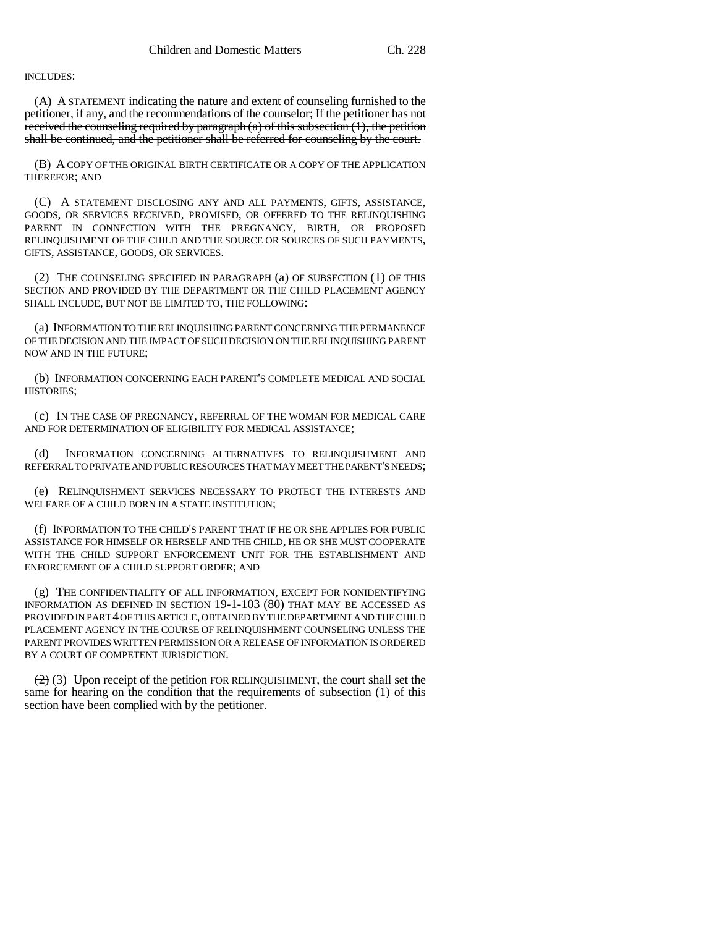INCLUDES:

(A) A STATEMENT indicating the nature and extent of counseling furnished to the petitioner, if any, and the recommendations of the counselor; If the petitioner has not received the counseling required by paragraph  $(a)$  of this subsection  $(1)$ , the petition shall be continued, and the petitioner shall be referred for counseling by the court.

(B) A COPY OF THE ORIGINAL BIRTH CERTIFICATE OR A COPY OF THE APPLICATION THEREFOR; AND

(C) A STATEMENT DISCLOSING ANY AND ALL PAYMENTS, GIFTS, ASSISTANCE, GOODS, OR SERVICES RECEIVED, PROMISED, OR OFFERED TO THE RELINQUISHING PARENT IN CONNECTION WITH THE PREGNANCY, BIRTH, OR PROPOSED RELINQUISHMENT OF THE CHILD AND THE SOURCE OR SOURCES OF SUCH PAYMENTS, GIFTS, ASSISTANCE, GOODS, OR SERVICES.

(2) THE COUNSELING SPECIFIED IN PARAGRAPH (a) OF SUBSECTION (1) OF THIS SECTION AND PROVIDED BY THE DEPARTMENT OR THE CHILD PLACEMENT AGENCY SHALL INCLUDE, BUT NOT BE LIMITED TO, THE FOLLOWING:

(a) INFORMATION TO THE RELINQUISHING PARENT CONCERNING THE PERMANENCE OF THE DECISION AND THE IMPACT OF SUCH DECISION ON THE RELINQUISHING PARENT NOW AND IN THE FUTURE;

(b) INFORMATION CONCERNING EACH PARENT'S COMPLETE MEDICAL AND SOCIAL HISTORIES;

(c) IN THE CASE OF PREGNANCY, REFERRAL OF THE WOMAN FOR MEDICAL CARE AND FOR DETERMINATION OF ELIGIBILITY FOR MEDICAL ASSISTANCE;

(d) INFORMATION CONCERNING ALTERNATIVES TO RELINQUISHMENT AND REFERRAL TO PRIVATE AND PUBLIC RESOURCES THAT MAY MEET THE PARENT'S NEEDS;

(e) RELINQUISHMENT SERVICES NECESSARY TO PROTECT THE INTERESTS AND WELFARE OF A CHILD BORN IN A STATE INSTITUTION;

(f) INFORMATION TO THE CHILD'S PARENT THAT IF HE OR SHE APPLIES FOR PUBLIC ASSISTANCE FOR HIMSELF OR HERSELF AND THE CHILD, HE OR SHE MUST COOPERATE WITH THE CHILD SUPPORT ENFORCEMENT UNIT FOR THE ESTABLISHMENT AND ENFORCEMENT OF A CHILD SUPPORT ORDER; AND

(g) THE CONFIDENTIALITY OF ALL INFORMATION, EXCEPT FOR NONIDENTIFYING INFORMATION AS DEFINED IN SECTION 19-1-103 (80) THAT MAY BE ACCESSED AS PROVIDED IN PART 4 OF THIS ARTICLE, OBTAINED BY THE DEPARTMENT AND THE CHILD PLACEMENT AGENCY IN THE COURSE OF RELINQUISHMENT COUNSELING UNLESS THE PARENT PROVIDES WRITTEN PERMISSION OR A RELEASE OF INFORMATION IS ORDERED BY A COURT OF COMPETENT JURISDICTION.

 $(2)$  (3) Upon receipt of the petition FOR RELINQUISHMENT, the court shall set the same for hearing on the condition that the requirements of subsection (1) of this section have been complied with by the petitioner.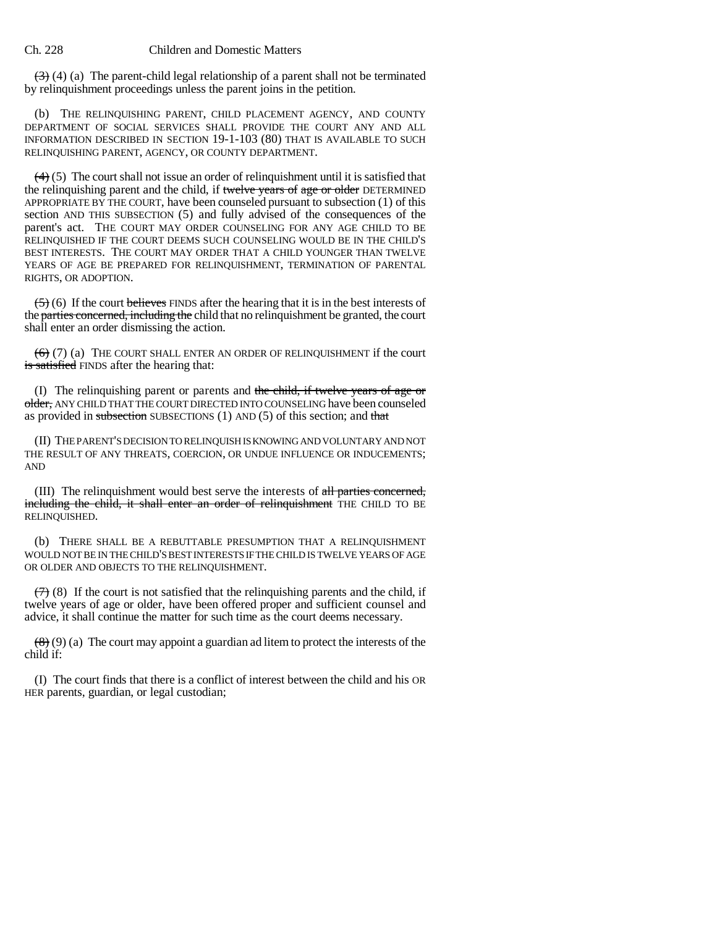$(3)$  (4) (a) The parent-child legal relationship of a parent shall not be terminated by relinquishment proceedings unless the parent joins in the petition.

(b) THE RELINQUISHING PARENT, CHILD PLACEMENT AGENCY, AND COUNTY DEPARTMENT OF SOCIAL SERVICES SHALL PROVIDE THE COURT ANY AND ALL INFORMATION DESCRIBED IN SECTION 19-1-103 (80) THAT IS AVAILABLE TO SUCH RELINQUISHING PARENT, AGENCY, OR COUNTY DEPARTMENT.

 $(4)$  (5) The court shall not issue an order of relinquishment until it is satisfied that the relinquishing parent and the child, if twelve years of age or older DETERMINED APPROPRIATE BY THE COURT, have been counseled pursuant to subsection (1) of this section AND THIS SUBSECTION (5) and fully advised of the consequences of the parent's act. THE COURT MAY ORDER COUNSELING FOR ANY AGE CHILD TO BE RELINQUISHED IF THE COURT DEEMS SUCH COUNSELING WOULD BE IN THE CHILD'S BEST INTERESTS. THE COURT MAY ORDER THAT A CHILD YOUNGER THAN TWELVE YEARS OF AGE BE PREPARED FOR RELINQUISHMENT, TERMINATION OF PARENTAL RIGHTS, OR ADOPTION.

 $(5)$  (6) If the court believes FINDS after the hearing that it is in the best interests of the parties concerned, including the child that no relinquishment be granted, the court shall enter an order dismissing the action.

 $(6)$  (7) (a) THE COURT SHALL ENTER AN ORDER OF RELINQUISHMENT if the court is satisfied FINDS after the hearing that:

(I) The relinquishing parent or parents and the child, if twelve years of age or older, ANY CHILD THAT THE COURT DIRECTED INTO COUNSELING have been counseled as provided in subsection SUBSECTIONS  $(1)$  AND  $(5)$  of this section; and that

(II) THE PARENT'S DECISION TO RELINQUISH IS KNOWING AND VOLUNTARY AND NOT THE RESULT OF ANY THREATS, COERCION, OR UNDUE INFLUENCE OR INDUCEMENTS; AND

(III) The relinquishment would best serve the interests of all parties concerned, including the child, it shall enter an order of relinquishment THE CHILD TO BE RELINQUISHED.

(b) THERE SHALL BE A REBUTTABLE PRESUMPTION THAT A RELINQUISHMENT WOULD NOT BE IN THE CHILD'S BEST INTERESTS IF THE CHILD IS TWELVE YEARS OF AGE OR OLDER AND OBJECTS TO THE RELINQUISHMENT.

 $(7)$  (8) If the court is not satisfied that the relinquishing parents and the child, if twelve years of age or older, have been offered proper and sufficient counsel and advice, it shall continue the matter for such time as the court deems necessary.

 $(8)(9)$  (a) The court may appoint a guardian ad litem to protect the interests of the child if:

(I) The court finds that there is a conflict of interest between the child and his OR HER parents, guardian, or legal custodian;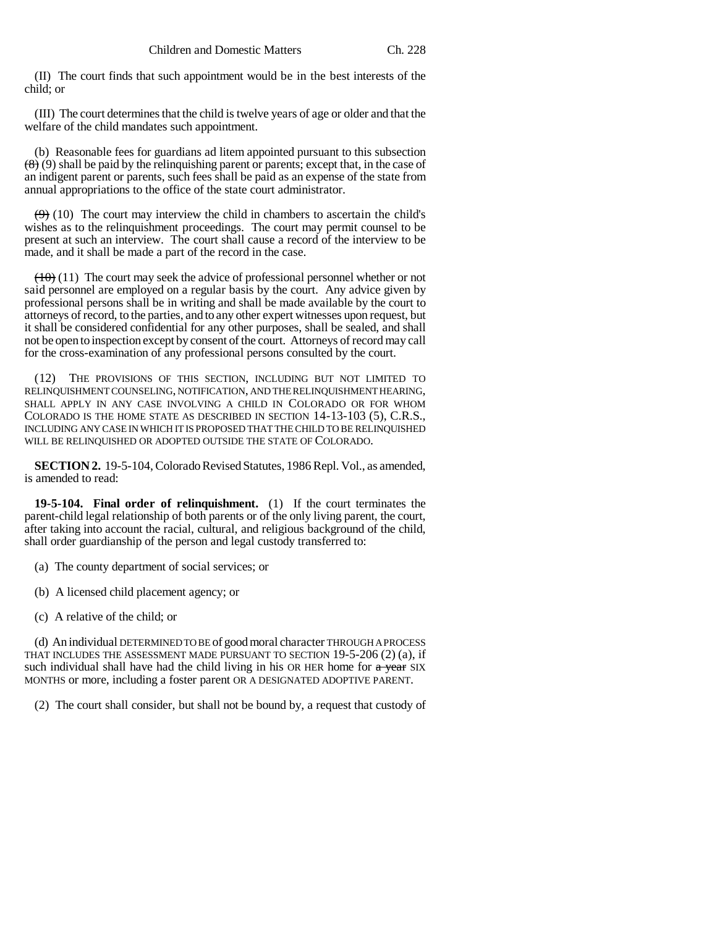(II) The court finds that such appointment would be in the best interests of the child; or

(III) The court determines that the child is twelve years of age or older and that the welfare of the child mandates such appointment.

(b) Reasonable fees for guardians ad litem appointed pursuant to this subsection  $(8)(9)$  shall be paid by the relinquishing parent or parents; except that, in the case of an indigent parent or parents, such fees shall be paid as an expense of the state from annual appropriations to the office of the state court administrator.

 $(9)$  (10) The court may interview the child in chambers to ascertain the child's wishes as to the relinquishment proceedings. The court may permit counsel to be present at such an interview. The court shall cause a record of the interview to be made, and it shall be made a part of the record in the case.

 $(10)(11)$  The court may seek the advice of professional personnel whether or not said personnel are employed on a regular basis by the court. Any advice given by professional persons shall be in writing and shall be made available by the court to attorneys of record, to the parties, and to any other expert witnesses upon request, but it shall be considered confidential for any other purposes, shall be sealed, and shall not be open to inspection except by consent of the court. Attorneys of record may call for the cross-examination of any professional persons consulted by the court.

(12) THE PROVISIONS OF THIS SECTION, INCLUDING BUT NOT LIMITED TO RELINQUISHMENT COUNSELING, NOTIFICATION, AND THE RELINQUISHMENT HEARING, SHALL APPLY IN ANY CASE INVOLVING A CHILD IN COLORADO OR FOR WHOM COLORADO IS THE HOME STATE AS DESCRIBED IN SECTION 14-13-103 (5), C.R.S., INCLUDING ANY CASE IN WHICH IT IS PROPOSED THAT THE CHILD TO BE RELINQUISHED WILL BE RELINQUISHED OR ADOPTED OUTSIDE THE STATE OF COLORADO.

**SECTION 2.** 19-5-104, Colorado Revised Statutes, 1986 Repl. Vol., as amended, is amended to read:

**19-5-104. Final order of relinquishment.** (1) If the court terminates the parent-child legal relationship of both parents or of the only living parent, the court, after taking into account the racial, cultural, and religious background of the child, shall order guardianship of the person and legal custody transferred to:

(a) The county department of social services; or

(b) A licensed child placement agency; or

(c) A relative of the child; or

(d) An individual DETERMINED TO BE of good moral character THROUGH A PROCESS THAT INCLUDES THE ASSESSMENT MADE PURSUANT TO SECTION 19-5-206 (2) (a), if such individual shall have had the child living in his OR HER home for  $\alpha$  year SIX MONTHS or more, including a foster parent OR A DESIGNATED ADOPTIVE PARENT.

(2) The court shall consider, but shall not be bound by, a request that custody of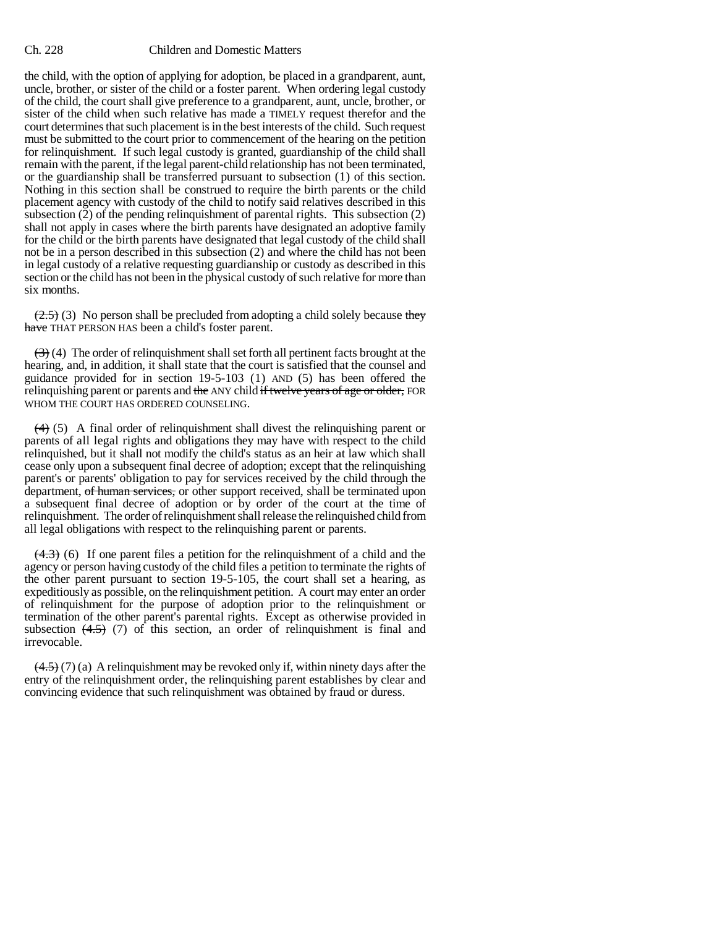the child, with the option of applying for adoption, be placed in a grandparent, aunt, uncle, brother, or sister of the child or a foster parent. When ordering legal custody of the child, the court shall give preference to a grandparent, aunt, uncle, brother, or sister of the child when such relative has made a TIMELY request therefor and the court determines that such placement is in the best interests of the child. Such request must be submitted to the court prior to commencement of the hearing on the petition for relinquishment. If such legal custody is granted, guardianship of the child shall remain with the parent, if the legal parent-child relationship has not been terminated, or the guardianship shall be transferred pursuant to subsection (1) of this section. Nothing in this section shall be construed to require the birth parents or the child placement agency with custody of the child to notify said relatives described in this subsection  $(2)$  of the pending relinquishment of parental rights. This subsection  $(2)$ shall not apply in cases where the birth parents have designated an adoptive family for the child or the birth parents have designated that legal custody of the child shall not be in a person described in this subsection (2) and where the child has not been in legal custody of a relative requesting guardianship or custody as described in this section or the child has not been in the physical custody of such relative for more than six months.

 $(2.5)$  (3) No person shall be precluded from adopting a child solely because they have THAT PERSON HAS been a child's foster parent.

 $(3)$  (4) The order of relinquishment shall set forth all pertinent facts brought at the hearing, and, in addition, it shall state that the court is satisfied that the counsel and guidance provided for in section 19-5-103 (1) AND (5) has been offered the relinquishing parent or parents and the ANY child if twelve years of age or older, FOR WHOM THE COURT HAS ORDERED COUNSELING.

 $(4)$  (5) A final order of relinquishment shall divest the relinquishing parent or parents of all legal rights and obligations they may have with respect to the child relinquished, but it shall not modify the child's status as an heir at law which shall cease only upon a subsequent final decree of adoption; except that the relinquishing parent's or parents' obligation to pay for services received by the child through the department, of human services, or other support received, shall be terminated upon a subsequent final decree of adoption or by order of the court at the time of relinquishment. The order of relinquishment shall release the relinquished child from all legal obligations with respect to the relinquishing parent or parents.

 $(4.3)$  (6) If one parent files a petition for the relinquishment of a child and the agency or person having custody of the child files a petition to terminate the rights of the other parent pursuant to section 19-5-105, the court shall set a hearing, as expeditiously as possible, on the relinquishment petition. A court may enter an order of relinquishment for the purpose of adoption prior to the relinquishment or termination of the other parent's parental rights. Except as otherwise provided in subsection  $(4.5)$  (7) of this section, an order of relinquishment is final and irrevocable.

 $(4.5)$  (7) (a) A relinquishment may be revoked only if, within ninety days after the entry of the relinquishment order, the relinquishing parent establishes by clear and convincing evidence that such relinquishment was obtained by fraud or duress.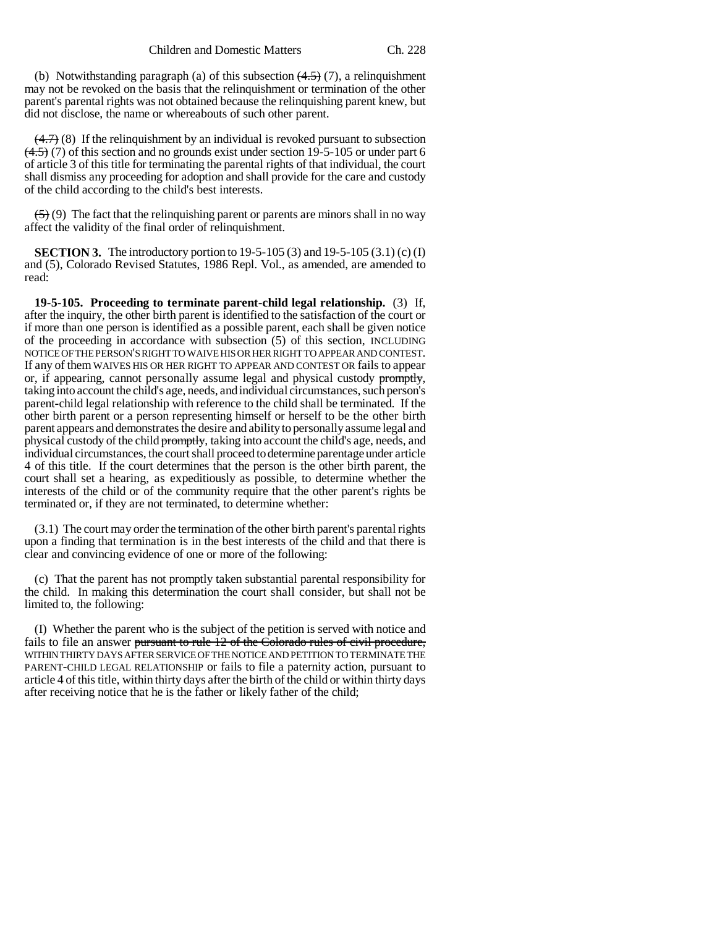(b) Notwithstanding paragraph (a) of this subsection  $(4.5)$  (7), a relinquishment may not be revoked on the basis that the relinquishment or termination of the other parent's parental rights was not obtained because the relinquishing parent knew, but did not disclose, the name or whereabouts of such other parent.

 $(4.7)$  (8) If the relinquishment by an individual is revoked pursuant to subsection  $(4.5)$  (7) of this section and no grounds exist under section 19-5-105 or under part 6 of article 3 of this title for terminating the parental rights of that individual, the court shall dismiss any proceeding for adoption and shall provide for the care and custody of the child according to the child's best interests.

 $\left(\frac{5}{2}\right)$  (9) The fact that the relinquishing parent or parents are minors shall in no way affect the validity of the final order of relinquishment.

**SECTION 3.** The introductory portion to 19-5-105 (3) and 19-5-105 (3.1) (c) (I) and (5), Colorado Revised Statutes, 1986 Repl. Vol., as amended, are amended to read:

**19-5-105. Proceeding to terminate parent-child legal relationship.** (3) If, after the inquiry, the other birth parent is identified to the satisfaction of the court or if more than one person is identified as a possible parent, each shall be given notice of the proceeding in accordance with subsection (5) of this section, INCLUDING NOTICE OF THE PERSON'S RIGHT TO WAIVE HIS OR HER RIGHT TO APPEAR AND CONTEST. If any of them WAIVES HIS OR HER RIGHT TO APPEAR AND CONTEST OR fails to appear or, if appearing, cannot personally assume legal and physical custody promptly, taking into account the child's age, needs, and individual circumstances, such person's parent-child legal relationship with reference to the child shall be terminated. If the other birth parent or a person representing himself or herself to be the other birth parent appears and demonstrates the desire and ability to personally assume legal and physical custody of the child promptly, taking into account the child's age, needs, and individual circumstances, the court shall proceed to determine parentage under article 4 of this title. If the court determines that the person is the other birth parent, the court shall set a hearing, as expeditiously as possible, to determine whether the interests of the child or of the community require that the other parent's rights be terminated or, if they are not terminated, to determine whether:

(3.1) The court may order the termination of the other birth parent's parental rights upon a finding that termination is in the best interests of the child and that there is clear and convincing evidence of one or more of the following:

(c) That the parent has not promptly taken substantial parental responsibility for the child. In making this determination the court shall consider, but shall not be limited to, the following:

(I) Whether the parent who is the subject of the petition is served with notice and fails to file an answer pursuant to rule 12 of the Colorado rules of civil procedure, WITHIN THIRTY DAYS AFTER SERVICE OF THE NOTICE AND PETITION TO TERMINATE THE PARENT-CHILD LEGAL RELATIONSHIP or fails to file a paternity action, pursuant to article 4 of this title, within thirty days after the birth of the child or within thirty days after receiving notice that he is the father or likely father of the child;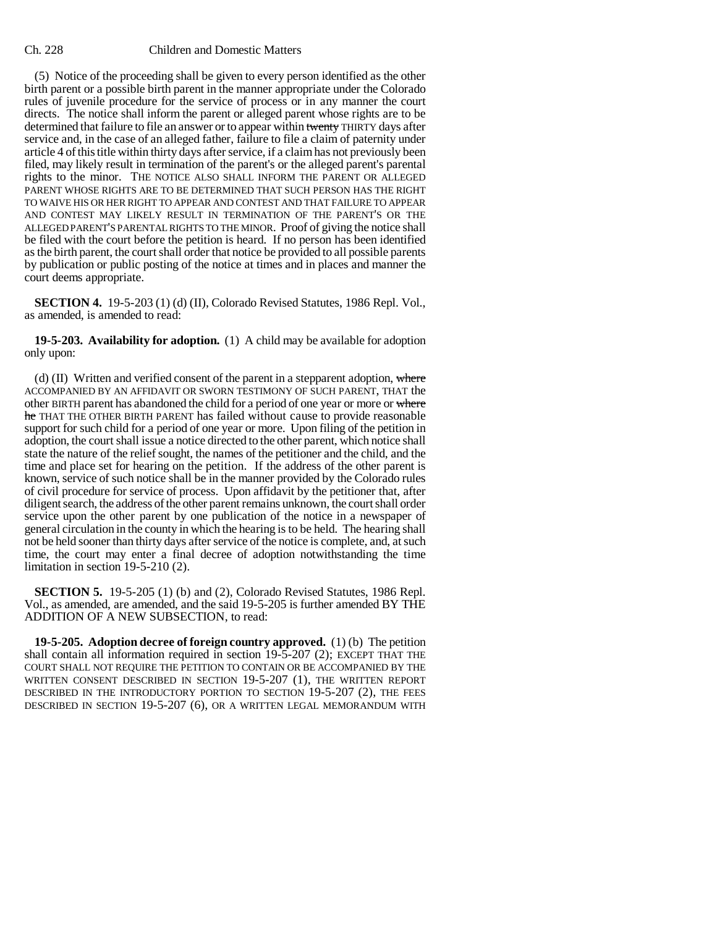(5) Notice of the proceeding shall be given to every person identified as the other birth parent or a possible birth parent in the manner appropriate under the Colorado rules of juvenile procedure for the service of process or in any manner the court directs. The notice shall inform the parent or alleged parent whose rights are to be determined that failure to file an answer or to appear within twenty THIRTY days after service and, in the case of an alleged father, failure to file a claim of paternity under article 4 of this title within thirty days after service, if a claim has not previously been filed, may likely result in termination of the parent's or the alleged parent's parental rights to the minor. THE NOTICE ALSO SHALL INFORM THE PARENT OR ALLEGED PARENT WHOSE RIGHTS ARE TO BE DETERMINED THAT SUCH PERSON HAS THE RIGHT TO WAIVE HIS OR HER RIGHT TO APPEAR AND CONTEST AND THAT FAILURE TO APPEAR AND CONTEST MAY LIKELY RESULT IN TERMINATION OF THE PARENT'S OR THE ALLEGED PARENT'S PARENTAL RIGHTS TO THE MINOR. Proof of giving the notice shall be filed with the court before the petition is heard. If no person has been identified as the birth parent, the court shall order that notice be provided to all possible parents by publication or public posting of the notice at times and in places and manner the court deems appropriate.

**SECTION 4.** 19-5-203 (1) (d) (II), Colorado Revised Statutes, 1986 Repl. Vol., as amended, is amended to read:

**19-5-203. Availability for adoption.** (1) A child may be available for adoption only upon:

(d) (II) Written and verified consent of the parent in a stepparent adoption, where ACCOMPANIED BY AN AFFIDAVIT OR SWORN TESTIMONY OF SUCH PARENT, THAT the other BIRTH parent has abandoned the child for a period of one year or more or where he THAT THE OTHER BIRTH PARENT has failed without cause to provide reasonable support for such child for a period of one year or more. Upon filing of the petition in adoption, the court shall issue a notice directed to the other parent, which notice shall state the nature of the relief sought, the names of the petitioner and the child, and the time and place set for hearing on the petition. If the address of the other parent is known, service of such notice shall be in the manner provided by the Colorado rules of civil procedure for service of process. Upon affidavit by the petitioner that, after diligent search, the address of the other parent remains unknown, the court shall order service upon the other parent by one publication of the notice in a newspaper of general circulation in the county in which the hearing is to be held. The hearing shall not be held sooner than thirty days after service of the notice is complete, and, at such time, the court may enter a final decree of adoption notwithstanding the time limitation in section 19-5-210 (2).

**SECTION 5.** 19-5-205 (1) (b) and (2), Colorado Revised Statutes, 1986 Repl. Vol., as amended, are amended, and the said 19-5-205 is further amended BY THE ADDITION OF A NEW SUBSECTION, to read:

**19-5-205. Adoption decree of foreign country approved.** (1) (b) The petition shall contain all information required in section 19-5-207 (2); EXCEPT THAT THE COURT SHALL NOT REQUIRE THE PETITION TO CONTAIN OR BE ACCOMPANIED BY THE WRITTEN CONSENT DESCRIBED IN SECTION 19-5-207 (1), THE WRITTEN REPORT DESCRIBED IN THE INTRODUCTORY PORTION TO SECTION 19-5-207 (2), THE FEES DESCRIBED IN SECTION 19-5-207 (6), OR A WRITTEN LEGAL MEMORANDUM WITH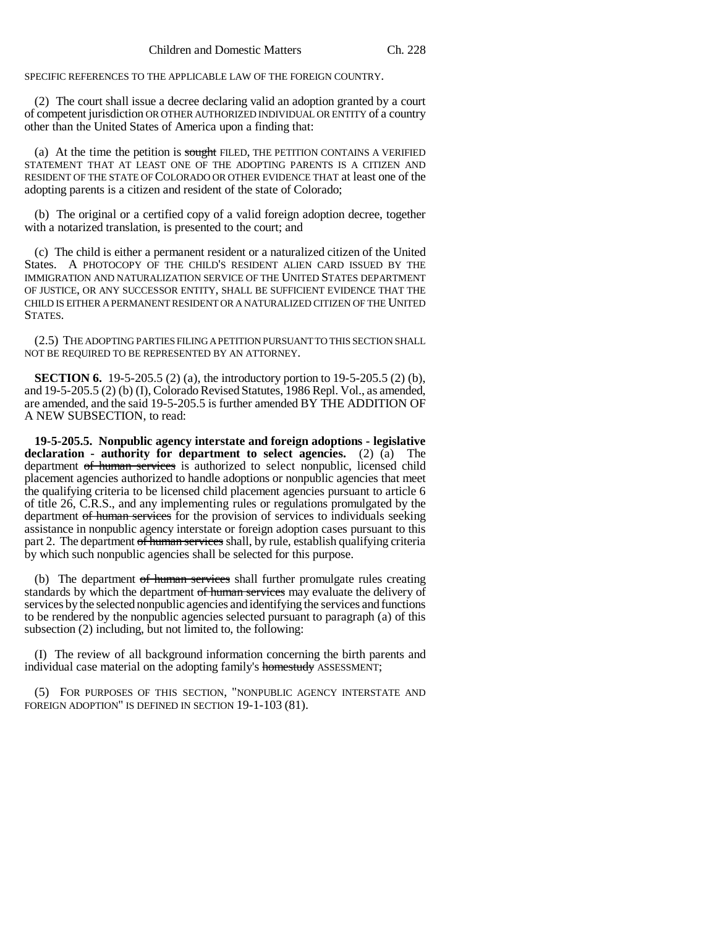SPECIFIC REFERENCES TO THE APPLICABLE LAW OF THE FOREIGN COUNTRY.

(2) The court shall issue a decree declaring valid an adoption granted by a court of competent jurisdiction OR OTHER AUTHORIZED INDIVIDUAL OR ENTITY of a country other than the United States of America upon a finding that:

(a) At the time the petition is  $s$  ought FILED, THE PETITION CONTAINS A VERIFIED STATEMENT THAT AT LEAST ONE OF THE ADOPTING PARENTS IS A CITIZEN AND RESIDENT OF THE STATE OF COLORADO OR OTHER EVIDENCE THAT at least one of the adopting parents is a citizen and resident of the state of Colorado;

(b) The original or a certified copy of a valid foreign adoption decree, together with a notarized translation, is presented to the court; and

(c) The child is either a permanent resident or a naturalized citizen of the United States. A PHOTOCOPY OF THE CHILD'S RESIDENT ALIEN CARD ISSUED BY THE IMMIGRATION AND NATURALIZATION SERVICE OF THE UNITED STATES DEPARTMENT OF JUSTICE, OR ANY SUCCESSOR ENTITY, SHALL BE SUFFICIENT EVIDENCE THAT THE CHILD IS EITHER A PERMANENT RESIDENT OR A NATURALIZED CITIZEN OF THE UNITED STATES.

(2.5) THE ADOPTING PARTIES FILING A PETITION PURSUANT TO THIS SECTION SHALL NOT BE REQUIRED TO BE REPRESENTED BY AN ATTORNEY.

**SECTION 6.** 19-5-205.5 (2) (a), the introductory portion to 19-5-205.5 (2) (b), and 19-5-205.5 (2) (b) (I), Colorado Revised Statutes, 1986 Repl. Vol., as amended, are amended, and the said 19-5-205.5 is further amended BY THE ADDITION OF A NEW SUBSECTION, to read:

**19-5-205.5. Nonpublic agency interstate and foreign adoptions - legislative declaration - authority for department to select agencies.** (2) (a) The department of human services is authorized to select nonpublic, licensed child placement agencies authorized to handle adoptions or nonpublic agencies that meet the qualifying criteria to be licensed child placement agencies pursuant to article 6 of title 26, C.R.S., and any implementing rules or regulations promulgated by the department of human services for the provision of services to individuals seeking assistance in nonpublic agency interstate or foreign adoption cases pursuant to this part 2. The department of human services shall, by rule, establish qualifying criteria by which such nonpublic agencies shall be selected for this purpose.

(b) The department of human services shall further promulgate rules creating standards by which the department of human services may evaluate the delivery of services by the selected nonpublic agencies and identifying the services and functions to be rendered by the nonpublic agencies selected pursuant to paragraph (a) of this subsection (2) including, but not limited to, the following:

(I) The review of all background information concerning the birth parents and individual case material on the adopting family's homestudy ASSESSMENT;

(5) FOR PURPOSES OF THIS SECTION, "NONPUBLIC AGENCY INTERSTATE AND FOREIGN ADOPTION" IS DEFINED IN SECTION 19-1-103 (81).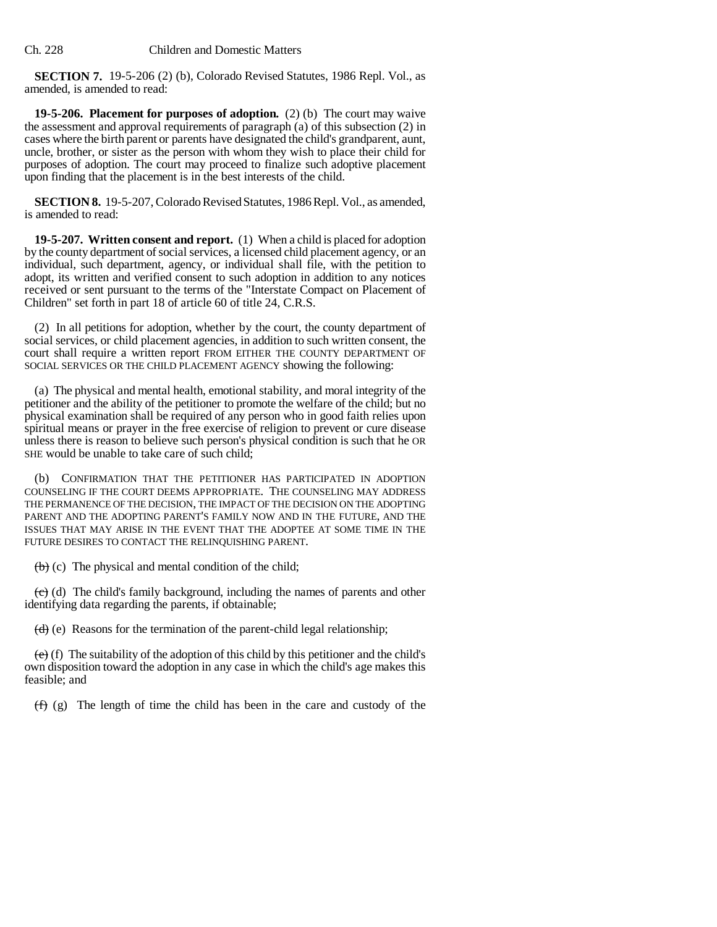**SECTION 7.** 19-5-206 (2) (b), Colorado Revised Statutes, 1986 Repl. Vol., as amended, is amended to read:

**19-5-206. Placement for purposes of adoption.** (2) (b) The court may waive the assessment and approval requirements of paragraph (a) of this subsection (2) in cases where the birth parent or parents have designated the child's grandparent, aunt, uncle, brother, or sister as the person with whom they wish to place their child for purposes of adoption. The court may proceed to finalize such adoptive placement upon finding that the placement is in the best interests of the child.

**SECTION 8.** 19-5-207, Colorado Revised Statutes, 1986 Repl. Vol., as amended, is amended to read:

**19-5-207. Written consent and report.** (1) When a child is placed for adoption by the county department of social services, a licensed child placement agency, or an individual, such department, agency, or individual shall file, with the petition to adopt, its written and verified consent to such adoption in addition to any notices received or sent pursuant to the terms of the "Interstate Compact on Placement of Children" set forth in part 18 of article 60 of title 24, C.R.S.

(2) In all petitions for adoption, whether by the court, the county department of social services, or child placement agencies, in addition to such written consent, the court shall require a written report FROM EITHER THE COUNTY DEPARTMENT OF SOCIAL SERVICES OR THE CHILD PLACEMENT AGENCY showing the following:

(a) The physical and mental health, emotional stability, and moral integrity of the petitioner and the ability of the petitioner to promote the welfare of the child; but no physical examination shall be required of any person who in good faith relies upon spiritual means or prayer in the free exercise of religion to prevent or cure disease unless there is reason to believe such person's physical condition is such that he OR SHE would be unable to take care of such child;

(b) CONFIRMATION THAT THE PETITIONER HAS PARTICIPATED IN ADOPTION COUNSELING IF THE COURT DEEMS APPROPRIATE. THE COUNSELING MAY ADDRESS THE PERMANENCE OF THE DECISION, THE IMPACT OF THE DECISION ON THE ADOPTING PARENT AND THE ADOPTING PARENT'S FAMILY NOW AND IN THE FUTURE, AND THE ISSUES THAT MAY ARISE IN THE EVENT THAT THE ADOPTEE AT SOME TIME IN THE FUTURE DESIRES TO CONTACT THE RELINQUISHING PARENT.

 $(b)$  (c) The physical and mental condition of the child;

(c) (d) The child's family background, including the names of parents and other identifying data regarding the parents, if obtainable;

 $(d)$  (e) Reasons for the termination of the parent-child legal relationship;

 $\overline{(e)}$  (f) The suitability of the adoption of this child by this petitioner and the child's own disposition toward the adoption in any case in which the child's age makes this feasible; and

 $(f)$  (g) The length of time the child has been in the care and custody of the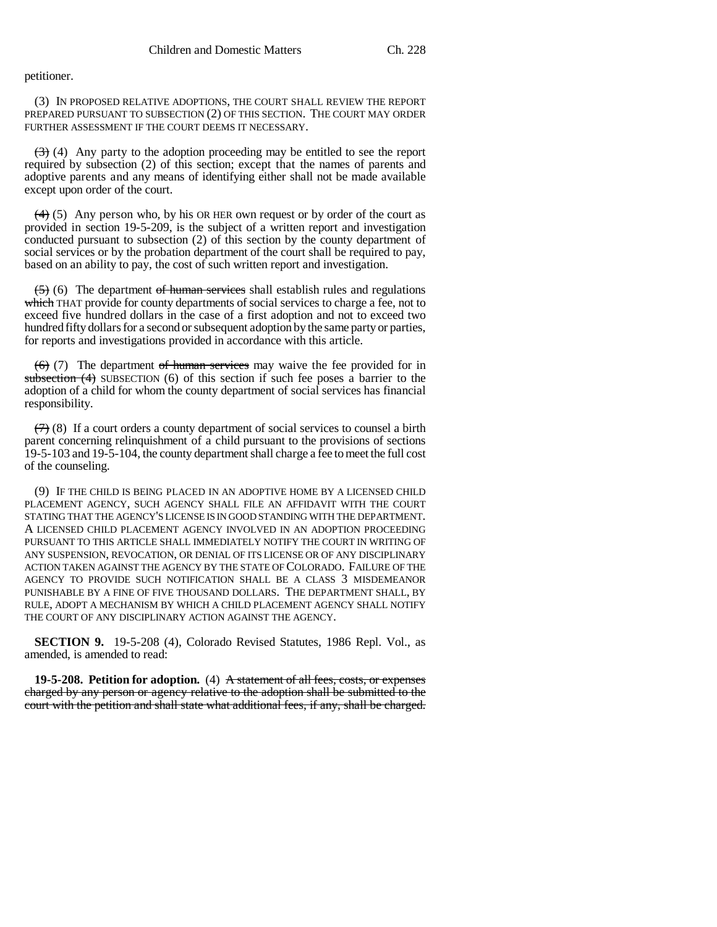petitioner.

(3) IN PROPOSED RELATIVE ADOPTIONS, THE COURT SHALL REVIEW THE REPORT PREPARED PURSUANT TO SUBSECTION (2) OF THIS SECTION. THE COURT MAY ORDER FURTHER ASSESSMENT IF THE COURT DEEMS IT NECESSARY.

 $(3)$  (4) Any party to the adoption proceeding may be entitled to see the report required by subsection (2) of this section; except that the names of parents and adoptive parents and any means of identifying either shall not be made available except upon order of the court.

 $(4)$  (5) Any person who, by his OR HER own request or by order of the court as provided in section 19-5-209, is the subject of a written report and investigation conducted pursuant to subsection (2) of this section by the county department of social services or by the probation department of the court shall be required to pay, based on an ability to pay, the cost of such written report and investigation.

 $(5)$  (6) The department of human services shall establish rules and regulations which THAT provide for county departments of social services to charge a fee, not to exceed five hundred dollars in the case of a first adoption and not to exceed two hundred fifty dollars for a second or subsequent adoption by the same party or parties, for reports and investigations provided in accordance with this article.

 $(6)$  (7) The department of human services may waive the fee provided for in subsection  $(4)$  SUBSECTION  $(6)$  of this section if such fee poses a barrier to the adoption of a child for whom the county department of social services has financial responsibility.

 $(7)$  (8) If a court orders a county department of social services to counsel a birth parent concerning relinquishment of a child pursuant to the provisions of sections 19-5-103 and 19-5-104, the county department shall charge a fee to meet the full cost of the counseling.

(9) IF THE CHILD IS BEING PLACED IN AN ADOPTIVE HOME BY A LICENSED CHILD PLACEMENT AGENCY, SUCH AGENCY SHALL FILE AN AFFIDAVIT WITH THE COURT STATING THAT THE AGENCY'S LICENSE IS IN GOOD STANDING WITH THE DEPARTMENT. A LICENSED CHILD PLACEMENT AGENCY INVOLVED IN AN ADOPTION PROCEEDING PURSUANT TO THIS ARTICLE SHALL IMMEDIATELY NOTIFY THE COURT IN WRITING OF ANY SUSPENSION, REVOCATION, OR DENIAL OF ITS LICENSE OR OF ANY DISCIPLINARY ACTION TAKEN AGAINST THE AGENCY BY THE STATE OF COLORADO. FAILURE OF THE AGENCY TO PROVIDE SUCH NOTIFICATION SHALL BE A CLASS 3 MISDEMEANOR PUNISHABLE BY A FINE OF FIVE THOUSAND DOLLARS. THE DEPARTMENT SHALL, BY RULE, ADOPT A MECHANISM BY WHICH A CHILD PLACEMENT AGENCY SHALL NOTIFY THE COURT OF ANY DISCIPLINARY ACTION AGAINST THE AGENCY.

**SECTION 9.** 19-5-208 (4), Colorado Revised Statutes, 1986 Repl. Vol., as amended, is amended to read:

**19-5-208. Petition for adoption.** (4) A statement of all fees, costs, or expenses charged by any person or agency relative to the adoption shall be submitted to the court with the petition and shall state what additional fees, if any, shall be charged.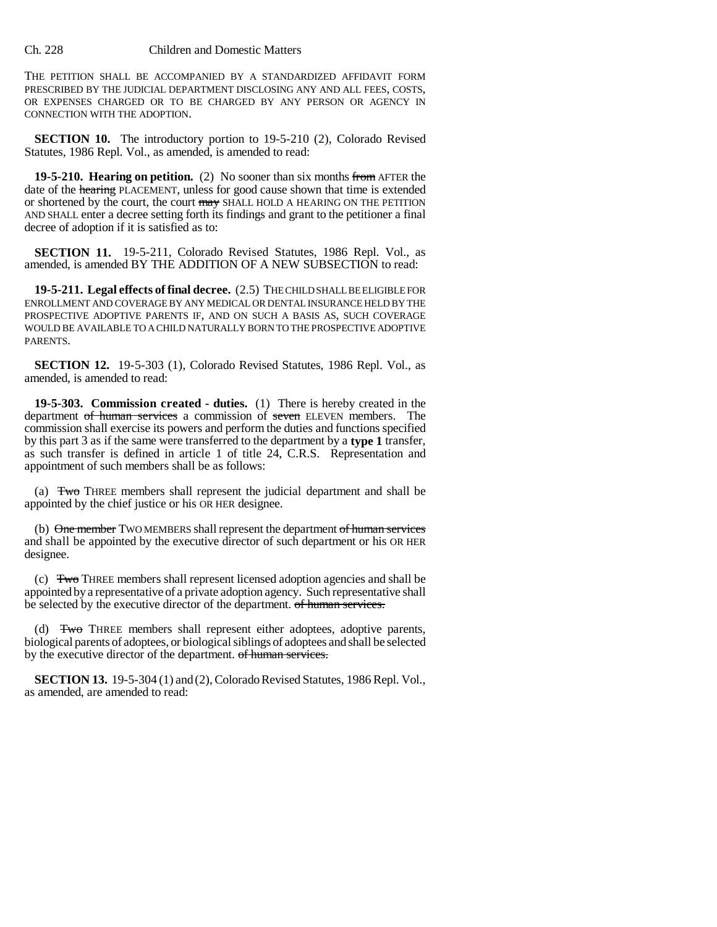THE PETITION SHALL BE ACCOMPANIED BY A STANDARDIZED AFFIDAVIT FORM PRESCRIBED BY THE JUDICIAL DEPARTMENT DISCLOSING ANY AND ALL FEES, COSTS, OR EXPENSES CHARGED OR TO BE CHARGED BY ANY PERSON OR AGENCY IN CONNECTION WITH THE ADOPTION.

**SECTION 10.** The introductory portion to 19-5-210 (2), Colorado Revised Statutes, 1986 Repl. Vol., as amended, is amended to read:

**19-5-210. Hearing on petition.** (2) No sooner than six months from AFTER the date of the hearing PLACEMENT, unless for good cause shown that time is extended or shortened by the court, the court may SHALL HOLD A HEARING ON THE PETITION AND SHALL enter a decree setting forth its findings and grant to the petitioner a final decree of adoption if it is satisfied as to:

**SECTION 11.** 19-5-211, Colorado Revised Statutes, 1986 Repl. Vol., as amended, is amended BY THE ADDITION OF A NEW SUBSECTION to read:

**19-5-211. Legal effects of final decree.** (2.5) THE CHILD SHALL BE ELIGIBLE FOR ENROLLMENT AND COVERAGE BY ANY MEDICAL OR DENTAL INSURANCE HELD BY THE PROSPECTIVE ADOPTIVE PARENTS IF, AND ON SUCH A BASIS AS, SUCH COVERAGE WOULD BE AVAILABLE TO A CHILD NATURALLY BORN TO THE PROSPECTIVE ADOPTIVE PARENTS.

**SECTION 12.** 19-5-303 (1), Colorado Revised Statutes, 1986 Repl. Vol., as amended, is amended to read:

**19-5-303. Commission created - duties.** (1) There is hereby created in the department of human services a commission of seven ELEVEN members. The commission shall exercise its powers and perform the duties and functions specified by this part 3 as if the same were transferred to the department by a **type 1** transfer, as such transfer is defined in article 1 of title 24, C.R.S. Representation and appointment of such members shall be as follows:

(a) Two THREE members shall represent the judicial department and shall be appointed by the chief justice or his OR HER designee.

(b) One member TWO MEMBERS shall represent the department of human services and shall be appointed by the executive director of such department or his OR HER designee.

(c) Two THREE members shall represent licensed adoption agencies and shall be appointed by a representative of a private adoption agency. Such representative shall be selected by the executive director of the department. of human services.

(d) Two THREE members shall represent either adoptees, adoptive parents, biological parents of adoptees, or biological siblings of adoptees and shall be selected by the executive director of the department. of human services.

**SECTION 13.** 19-5-304 (1) and (2), Colorado Revised Statutes, 1986 Repl. Vol., as amended, are amended to read: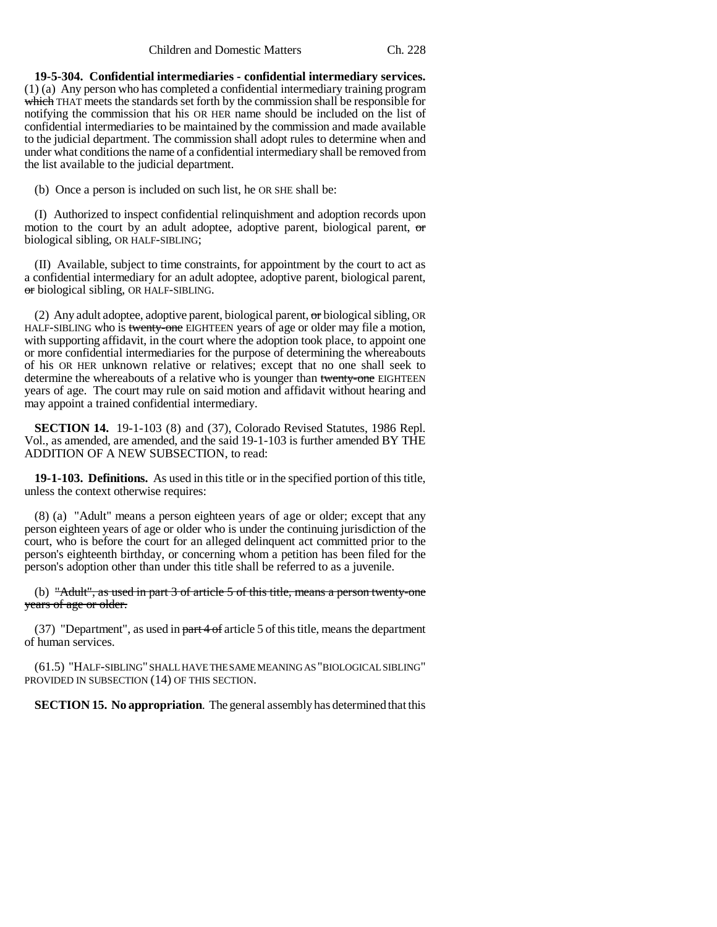Children and Domestic Matters Ch. 228

**19-5-304. Confidential intermediaries - confidential intermediary services.** (1) (a) Any person who has completed a confidential intermediary training program which THAT meets the standards set forth by the commission shall be responsible for notifying the commission that his OR HER name should be included on the list of confidential intermediaries to be maintained by the commission and made available to the judicial department. The commission shall adopt rules to determine when and under what conditions the name of a confidential intermediary shall be removed from the list available to the judicial department.

(b) Once a person is included on such list, he OR SHE shall be:

(I) Authorized to inspect confidential relinquishment and adoption records upon motion to the court by an adult adoptee, adoptive parent, biological parent, or biological sibling, OR HALF-SIBLING;

(II) Available, subject to time constraints, for appointment by the court to act as a confidential intermediary for an adult adoptee, adoptive parent, biological parent, or biological sibling, OR HALF-SIBLING.

(2) Any adult adoptee, adoptive parent, biological parent,  $\sigma$ r biological sibling, OR HALF-SIBLING who is twenty-one EIGHTEEN years of age or older may file a motion, with supporting affidavit, in the court where the adoption took place, to appoint one or more confidential intermediaries for the purpose of determining the whereabouts of his OR HER unknown relative or relatives; except that no one shall seek to determine the whereabouts of a relative who is younger than twenty-one EIGHTEEN years of age. The court may rule on said motion and affidavit without hearing and may appoint a trained confidential intermediary.

**SECTION 14.** 19-1-103 (8) and (37), Colorado Revised Statutes, 1986 Repl. Vol., as amended, are amended, and the said 19-1-103 is further amended BY THE ADDITION OF A NEW SUBSECTION, to read:

**19-1-103. Definitions.** As used in this title or in the specified portion of this title, unless the context otherwise requires:

(8) (a) "Adult" means a person eighteen years of age or older; except that any person eighteen years of age or older who is under the continuing jurisdiction of the court, who is before the court for an alleged delinquent act committed prior to the person's eighteenth birthday, or concerning whom a petition has been filed for the person's adoption other than under this title shall be referred to as a juvenile.

(b) "Adult", as used in part 3 of article 5 of this title, means a person twenty-one years of age or older.

(37) "Department", as used in  $part 4 of$  article 5 of this title, means the department of human services.

(61.5) "HALF-SIBLING" SHALL HAVE THE SAME MEANING AS "BIOLOGICAL SIBLING" PROVIDED IN SUBSECTION (14) OF THIS SECTION.

**SECTION 15. No appropriation**. The general assembly has determined that this